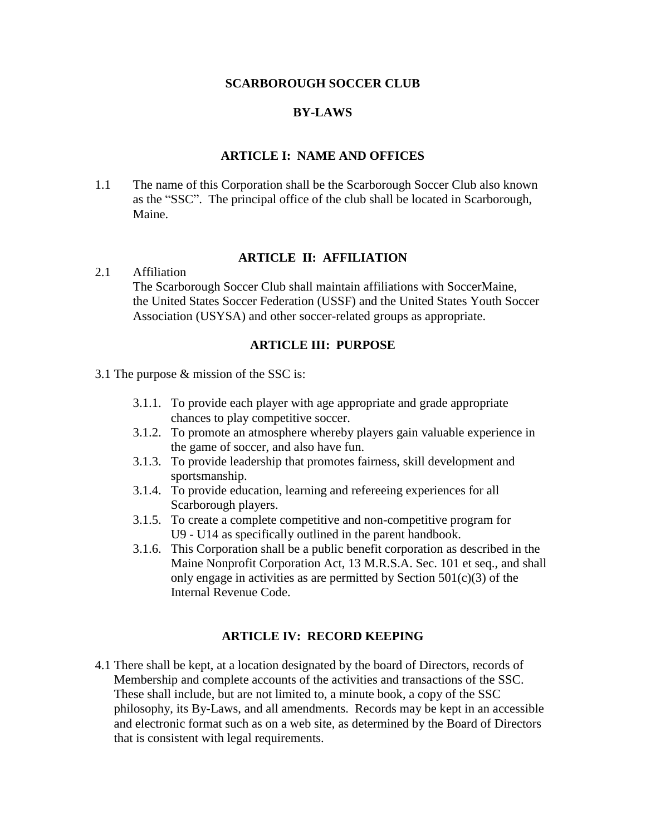#### **SCARBOROUGH SOCCER CLUB**

### **BY-LAWS**

### **ARTICLE I: NAME AND OFFICES**

1.1 The name of this Corporation shall be the Scarborough Soccer Club also known as the "SSC". The principal office of the club shall be located in Scarborough, Maine.

#### **ARTICLE II: AFFILIATION**

2.1 Affiliation

The Scarborough Soccer Club shall maintain affiliations with SoccerMaine, the United States Soccer Federation (USSF) and the United States Youth Soccer Association (USYSA) and other soccer-related groups as appropriate.

#### **ARTICLE III: PURPOSE**

3.1 The purpose & mission of the SSC is:

- 3.1.1. To provide each player with age appropriate and grade appropriate chances to play competitive soccer.
- 3.1.2. To promote an atmosphere whereby players gain valuable experience in the game of soccer, and also have fun.
- 3.1.3. To provide leadership that promotes fairness, skill development and sportsmanship.
- 3.1.4. To provide education, learning and refereeing experiences for all Scarborough players.
- 3.1.5. To create a complete competitive and non-competitive program for U9 - U14 as specifically outlined in the parent handbook.
- 3.1.6. This Corporation shall be a public benefit corporation as described in the Maine Nonprofit Corporation Act, 13 M.R.S.A. Sec. 101 et seq., and shall only engage in activities as are permitted by Section  $501(c)(3)$  of the Internal Revenue Code.

### **ARTICLE IV: RECORD KEEPING**

4.1 There shall be kept, at a location designated by the board of Directors, records of Membership and complete accounts of the activities and transactions of the SSC. These shall include, but are not limited to, a minute book, a copy of the SSC philosophy, its By-Laws, and all amendments. Records may be kept in an accessible and electronic format such as on a web site, as determined by the Board of Directors that is consistent with legal requirements.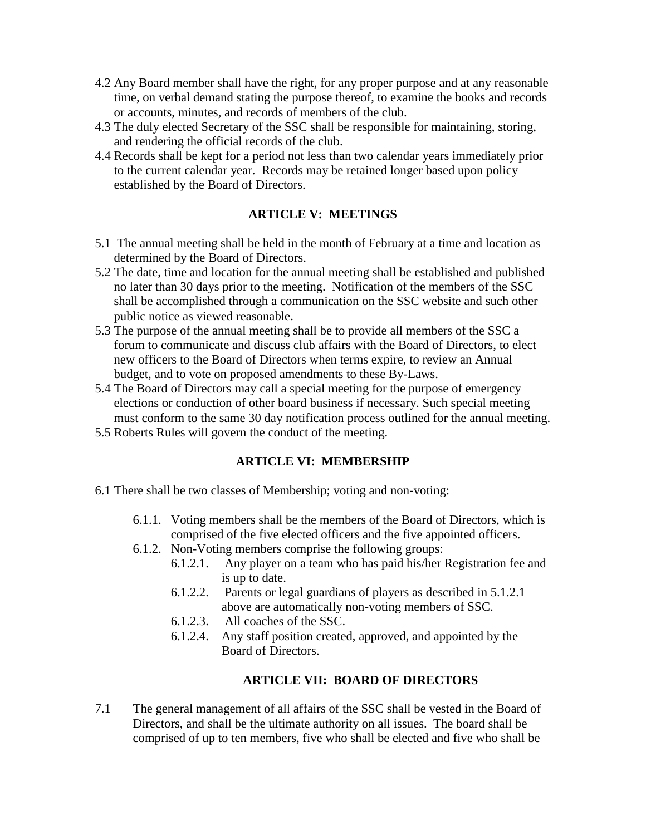- 4.2 Any Board member shall have the right, for any proper purpose and at any reasonable time, on verbal demand stating the purpose thereof, to examine the books and records or accounts, minutes, and records of members of the club.
- 4.3 The duly elected Secretary of the SSC shall be responsible for maintaining, storing, and rendering the official records of the club.
- 4.4 Records shall be kept for a period not less than two calendar years immediately prior to the current calendar year. Records may be retained longer based upon policy established by the Board of Directors.

## **ARTICLE V: MEETINGS**

- 5.1 The annual meeting shall be held in the month of February at a time and location as determined by the Board of Directors.
- 5.2 The date, time and location for the annual meeting shall be established and published no later than 30 days prior to the meeting. Notification of the members of the SSC shall be accomplished through a communication on the SSC website and such other public notice as viewed reasonable.
- 5.3 The purpose of the annual meeting shall be to provide all members of the SSC a forum to communicate and discuss club affairs with the Board of Directors, to elect new officers to the Board of Directors when terms expire, to review an Annual budget, and to vote on proposed amendments to these By-Laws.
- 5.4 The Board of Directors may call a special meeting for the purpose of emergency elections or conduction of other board business if necessary. Such special meeting must conform to the same 30 day notification process outlined for the annual meeting.
- 5.5 Roberts Rules will govern the conduct of the meeting.

# **ARTICLE VI: MEMBERSHIP**

- 6.1 There shall be two classes of Membership; voting and non-voting:
	- 6.1.1. Voting members shall be the members of the Board of Directors, which is comprised of the five elected officers and the five appointed officers.
	- 6.1.2. Non-Voting members comprise the following groups:
		- 6.1.2.1. Any player on a team who has paid his/her Registration fee and is up to date.
		- 6.1.2.2. Parents or legal guardians of players as described in 5.1.2.1 above are automatically non-voting members of SSC.
		- 6.1.2.3. All coaches of the SSC.
		- 6.1.2.4. Any staff position created, approved, and appointed by the Board of Directors.

# **ARTICLE VII: BOARD OF DIRECTORS**

7.1 The general management of all affairs of the SSC shall be vested in the Board of Directors, and shall be the ultimate authority on all issues. The board shall be comprised of up to ten members, five who shall be elected and five who shall be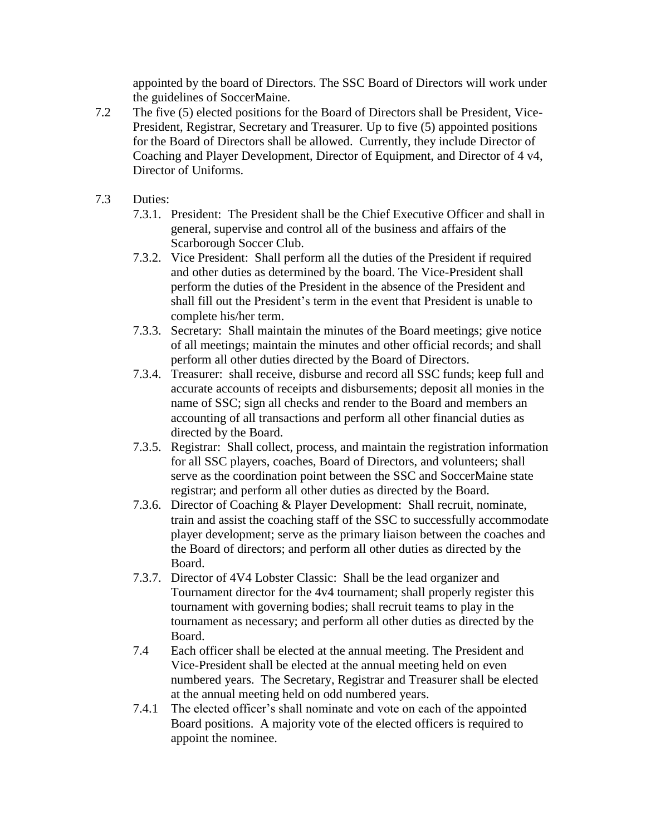appointed by the board of Directors. The SSC Board of Directors will work under the guidelines of SoccerMaine.

- 7.2 The five (5) elected positions for the Board of Directors shall be President, Vice-President, Registrar, Secretary and Treasurer. Up to five (5) appointed positions for the Board of Directors shall be allowed. Currently, they include Director of Coaching and Player Development, Director of Equipment, and Director of 4 v4, Director of Uniforms.
- 7.3 Duties:
	- 7.3.1. President: The President shall be the Chief Executive Officer and shall in general, supervise and control all of the business and affairs of the Scarborough Soccer Club.
	- 7.3.2. Vice President: Shall perform all the duties of the President if required and other duties as determined by the board. The Vice-President shall perform the duties of the President in the absence of the President and shall fill out the President's term in the event that President is unable to complete his/her term.
	- 7.3.3. Secretary: Shall maintain the minutes of the Board meetings; give notice of all meetings; maintain the minutes and other official records; and shall perform all other duties directed by the Board of Directors.
	- 7.3.4. Treasurer: shall receive, disburse and record all SSC funds; keep full and accurate accounts of receipts and disbursements; deposit all monies in the name of SSC; sign all checks and render to the Board and members an accounting of all transactions and perform all other financial duties as directed by the Board.
	- 7.3.5. Registrar: Shall collect, process, and maintain the registration information for all SSC players, coaches, Board of Directors, and volunteers; shall serve as the coordination point between the SSC and SoccerMaine state registrar; and perform all other duties as directed by the Board.
	- 7.3.6. Director of Coaching & Player Development: Shall recruit, nominate, train and assist the coaching staff of the SSC to successfully accommodate player development; serve as the primary liaison between the coaches and the Board of directors; and perform all other duties as directed by the Board.
	- 7.3.7. Director of 4V4 Lobster Classic: Shall be the lead organizer and Tournament director for the 4v4 tournament; shall properly register this tournament with governing bodies; shall recruit teams to play in the tournament as necessary; and perform all other duties as directed by the Board.
	- 7.4 Each officer shall be elected at the annual meeting. The President and Vice-President shall be elected at the annual meeting held on even numbered years. The Secretary, Registrar and Treasurer shall be elected at the annual meeting held on odd numbered years.
	- 7.4.1 The elected officer's shall nominate and vote on each of the appointed Board positions. A majority vote of the elected officers is required to appoint the nominee.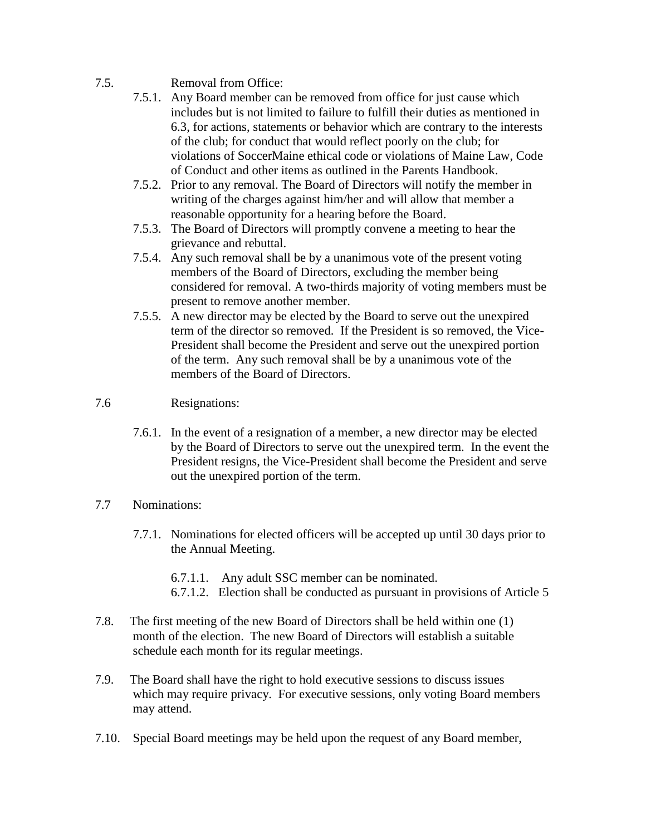- 7.5. Removal from Office:
	- 7.5.1. Any Board member can be removed from office for just cause which includes but is not limited to failure to fulfill their duties as mentioned in 6.3, for actions, statements or behavior which are contrary to the interests of the club; for conduct that would reflect poorly on the club; for violations of SoccerMaine ethical code or violations of Maine Law, Code of Conduct and other items as outlined in the Parents Handbook.
	- 7.5.2. Prior to any removal. The Board of Directors will notify the member in writing of the charges against him/her and will allow that member a reasonable opportunity for a hearing before the Board.
	- 7.5.3. The Board of Directors will promptly convene a meeting to hear the grievance and rebuttal.
	- 7.5.4. Any such removal shall be by a unanimous vote of the present voting members of the Board of Directors, excluding the member being considered for removal. A two-thirds majority of voting members must be present to remove another member.
	- 7.5.5. A new director may be elected by the Board to serve out the unexpired term of the director so removed. If the President is so removed, the Vice-President shall become the President and serve out the unexpired portion of the term. Any such removal shall be by a unanimous vote of the members of the Board of Directors.

# 7.6 Resignations:

- 7.6.1. In the event of a resignation of a member, a new director may be elected by the Board of Directors to serve out the unexpired term. In the event the President resigns, the Vice-President shall become the President and serve out the unexpired portion of the term.
- 7.7 Nominations:
	- 7.7.1. Nominations for elected officers will be accepted up until 30 days prior to the Annual Meeting.
		- 6.7.1.1. Any adult SSC member can be nominated.
		- 6.7.1.2. Election shall be conducted as pursuant in provisions of Article 5
- 7.8. The first meeting of the new Board of Directors shall be held within one (1) month of the election. The new Board of Directors will establish a suitable schedule each month for its regular meetings.
- 7.9. The Board shall have the right to hold executive sessions to discuss issues which may require privacy. For executive sessions, only voting Board members may attend.
- 7.10. Special Board meetings may be held upon the request of any Board member,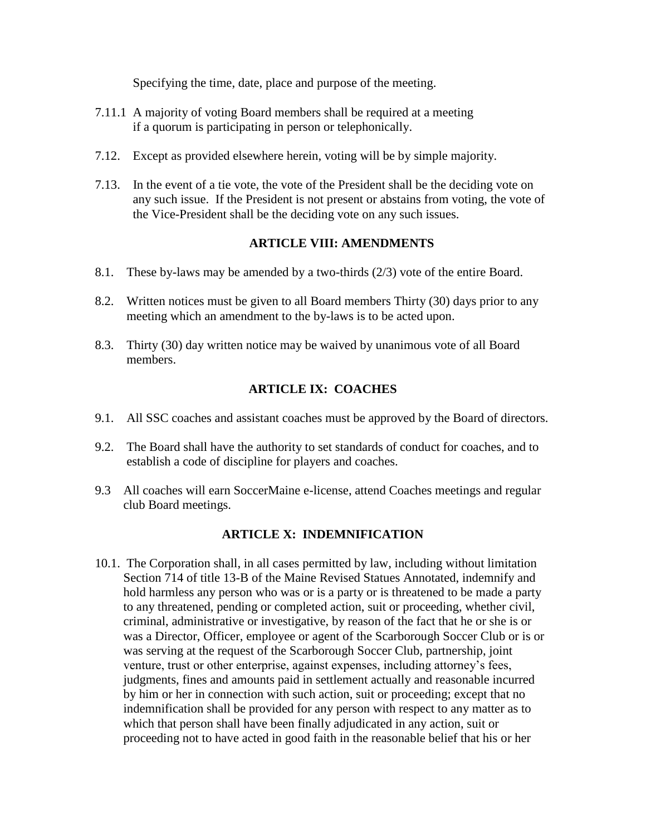Specifying the time, date, place and purpose of the meeting.

- 7.11.1 A majority of voting Board members shall be required at a meeting if a quorum is participating in person or telephonically.
- 7.12. Except as provided elsewhere herein, voting will be by simple majority.
- 7.13. In the event of a tie vote, the vote of the President shall be the deciding vote on any such issue. If the President is not present or abstains from voting, the vote of the Vice-President shall be the deciding vote on any such issues.

## **ARTICLE VIII: AMENDMENTS**

- 8.1. These by-laws may be amended by a two-thirds (2/3) vote of the entire Board.
- 8.2. Written notices must be given to all Board members Thirty (30) days prior to any meeting which an amendment to the by-laws is to be acted upon.
- 8.3. Thirty (30) day written notice may be waived by unanimous vote of all Board members.

## **ARTICLE IX: COACHES**

- 9.1. All SSC coaches and assistant coaches must be approved by the Board of directors.
- 9.2. The Board shall have the authority to set standards of conduct for coaches, and to establish a code of discipline for players and coaches.
- 9.3 All coaches will earn SoccerMaine e-license, attend Coaches meetings and regular club Board meetings.

### **ARTICLE X: INDEMNIFICATION**

10.1. The Corporation shall, in all cases permitted by law, including without limitation Section 714 of title 13-B of the Maine Revised Statues Annotated, indemnify and hold harmless any person who was or is a party or is threatened to be made a party to any threatened, pending or completed action, suit or proceeding, whether civil, criminal, administrative or investigative, by reason of the fact that he or she is or was a Director, Officer, employee or agent of the Scarborough Soccer Club or is or was serving at the request of the Scarborough Soccer Club, partnership, joint venture, trust or other enterprise, against expenses, including attorney's fees, judgments, fines and amounts paid in settlement actually and reasonable incurred by him or her in connection with such action, suit or proceeding; except that no indemnification shall be provided for any person with respect to any matter as to which that person shall have been finally adjudicated in any action, suit or proceeding not to have acted in good faith in the reasonable belief that his or her